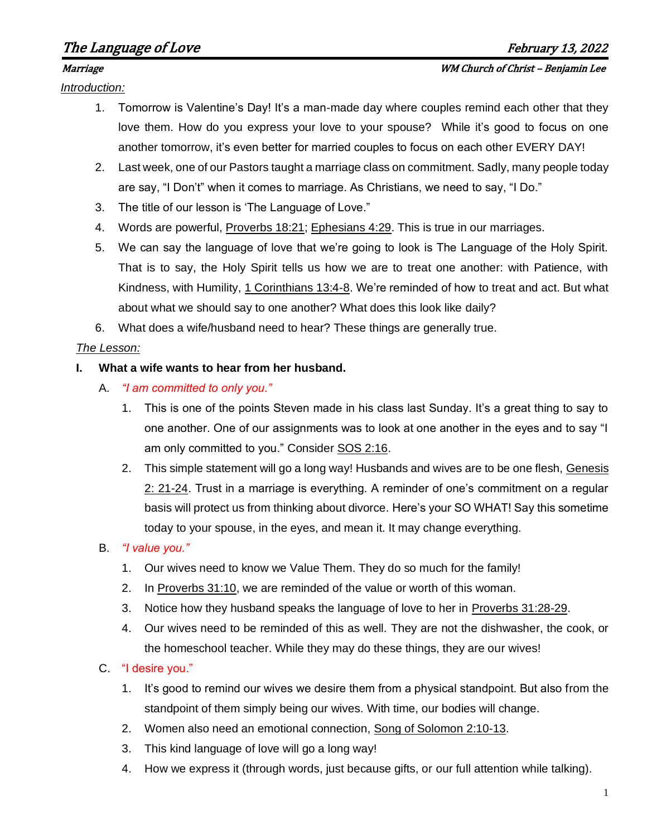# The Language of Love The Language of Love The Language of Love The Language of Love The Theorem 2022

*Introduction:*

- 1. Tomorrow is Valentine's Day! It's a man-made day where couples remind each other that they love them. How do you express your love to your spouse? While it's good to focus on one another tomorrow, it's even better for married couples to focus on each other EVERY DAY!
- 2. Last week, one of our Pastors taught a marriage class on commitment. Sadly, many people today are say, "I Don't" when it comes to marriage. As Christians, we need to say, "I Do."
- 3. The title of our lesson is 'The Language of Love."
- 4. Words are powerful, Proverbs 18:21; Ephesians 4:29. This is true in our marriages.
- 5. We can say the language of love that we're going to look is The Language of the Holy Spirit. That is to say, the Holy Spirit tells us how we are to treat one another: with Patience, with Kindness, with Humility, 1 Corinthians 13:4-8. We're reminded of how to treat and act. But what about what we should say to one another? What does this look like daily?
- 6. What does a wife/husband need to hear? These things are generally true.

### *The Lesson:*

### **I. What a wife wants to hear from her husband.**

- A. *"I am committed to only you."*
	- 1. This is one of the points Steven made in his class last Sunday. It's a great thing to say to one another. One of our assignments was to look at one another in the eyes and to say "I am only committed to you." Consider SOS 2:16.
	- 2. This simple statement will go a long way! Husbands and wives are to be one flesh, Genesis 2: 21-24. Trust in a marriage is everything. A reminder of one's commitment on a regular basis will protect us from thinking about divorce. Here's your SO WHAT! Say this sometime today to your spouse, in the eyes, and mean it. It may change everything.

## B. *"I value you."*

- 1. Our wives need to know we Value Them. They do so much for the family!
- 2. In Proverbs 31:10, we are reminded of the value or worth of this woman.
- 3. Notice how they husband speaks the language of love to her in Proverbs 31:28-29.
- 4. Our wives need to be reminded of this as well. They are not the dishwasher, the cook, or the homeschool teacher. While they may do these things, they are our wives!

## C. "I desire you."

- 1. It's good to remind our wives we desire them from a physical standpoint. But also from the standpoint of them simply being our wives. With time, our bodies will change.
- 2. Women also need an emotional connection, Song of Solomon 2:10-13.
- 3. This kind language of love will go a long way!
- 4. How we express it (through words, just because gifts, or our full attention while talking).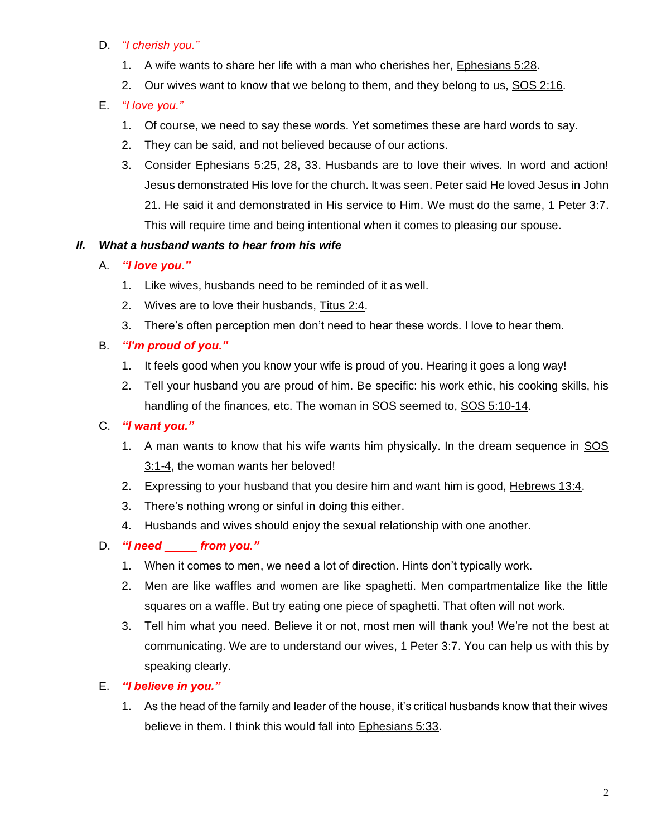## D. *"I cherish you."*

- 1. A wife wants to share her life with a man who cherishes her, Ephesians 5:28.
- 2. Our wives want to know that we belong to them, and they belong to us, SOS 2:16.

# E. *"I love you."*

- 1. Of course, we need to say these words. Yet sometimes these are hard words to say.
- 2. They can be said, and not believed because of our actions.
- 3. Consider Ephesians 5:25, 28, 33. Husbands are to love their wives. In word and action! Jesus demonstrated His love for the church. It was seen. Peter said He loved Jesus in John 21. He said it and demonstrated in His service to Him. We must do the same, 1 Peter 3:7. This will require time and being intentional when it comes to pleasing our spouse.

## *II. What a husband wants to hear from his wife*

- A. *"I love you."*
	- 1. Like wives, husbands need to be reminded of it as well.
	- 2. Wives are to love their husbands, Titus 2:4.
	- 3. There's often perception men don't need to hear these words. I love to hear them.

# B. *"I'm proud of you."*

- 1. It feels good when you know your wife is proud of you. Hearing it goes a long way!
- 2. Tell your husband you are proud of him. Be specific: his work ethic, his cooking skills, his handling of the finances, etc. The woman in SOS seemed to, SOS 5:10-14.

# C. *"I want you."*

- 1. A man wants to know that his wife wants him physically. In the dream sequence in SOS 3:1-4, the woman wants her beloved!
- 2. Expressing to your husband that you desire him and want him is good, Hebrews 13:4.
- 3. There's nothing wrong or sinful in doing this either.
- 4. Husbands and wives should enjoy the sexual relationship with one another.

# D. *"I need* from you."

- 1. When it comes to men, we need a lot of direction. Hints don't typically work.
- 2. Men are like waffles and women are like spaghetti. Men compartmentalize like the little squares on a waffle. But try eating one piece of spaghetti. That often will not work.
- 3. Tell him what you need. Believe it or not, most men will thank you! We're not the best at communicating. We are to understand our wives, 1 Peter 3:7. You can help us with this by speaking clearly.

## E. *"I believe in you."*

1. As the head of the family and leader of the house, it's critical husbands know that their wives believe in them. I think this would fall into Ephesians 5:33.